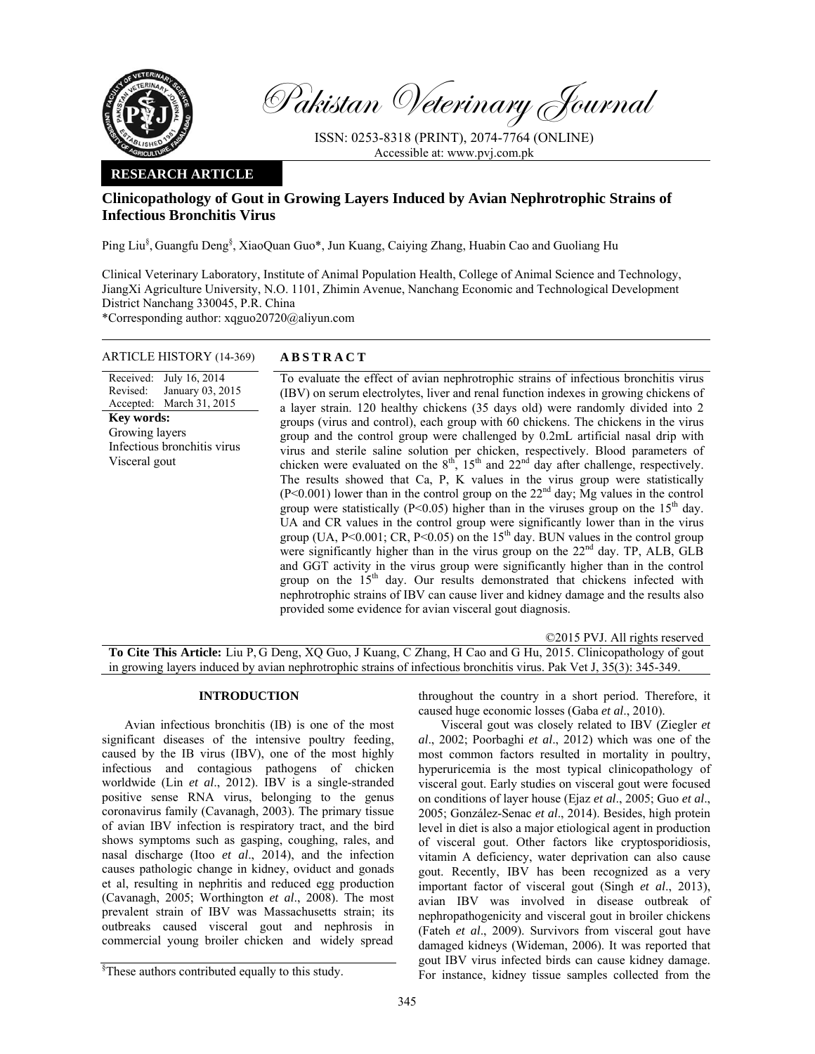

Pakistan Veterinary Journal

ISSN: 0253-8318 (PRINT), 2074-7764 (ONLINE) Accessible at: www.pvj.com.pk

# **RESEARCH ARTICLE**

# **Clinicopathology of Gout in Growing Layers Induced by Avian Nephrotrophic Strains of Infectious Bronchitis Virus**

Ping Liu<sup>§</sup>, Guangfu Deng<sup>§</sup>, XiaoQuan Guo\*, Jun Kuang, Caiying Zhang, Huabin Cao and Guoliang Hu

Clinical Veterinary Laboratory, Institute of Animal Population Health, College of Animal Science and Technology, JiangXi Agriculture University, N.O. 1101, Zhimin Avenue, Nanchang Economic and Technological Development District Nanchang 330045, P.R. China

\*Corresponding author: xqguo20720@aliyun.com

## ARTICLE HISTORY (14-369) **ABSTRACT**

Received: July 16, 2014 Revised: Accepted: January 03, 2015 March 31, 2015 **Key words:**  Growing layers Infectious bronchitis virus Visceral gout

 To evaluate the effect of avian nephrotrophic strains of infectious bronchitis virus (IBV) on serum electrolytes, liver and renal function indexes in growing chickens of a layer strain. 120 healthy chickens (35 days old) were randomly divided into 2 groups (virus and control), each group with 60 chickens. The chickens in the virus group and the control group were challenged by 0.2mL artificial nasal drip with virus and sterile saline solution per chicken, respectively. Blood parameters of chicken were evaluated on the  $8<sup>th</sup>$ ,  $15<sup>th</sup>$  and  $22<sup>nd</sup>$  day after challenge, respectively. The results showed that Ca, P, K values in the virus group were statistically  $(P<0.001)$  lower than in the control group on the 22<sup>nd</sup> day; Mg values in the control group were statistically ( $P<0.05$ ) higher than in the viruses group on the  $15<sup>th</sup>$  day. UA and CR values in the control group were significantly lower than in the virus group (UA,  $P \le 0.001$ ; CR,  $P \le 0.05$ ) on the 15<sup>th</sup> day. BUN values in the control group were significantly higher than in the virus group on the 22<sup>nd</sup> day. TP, ALB, GLB and GGT activity in the virus group were significantly higher than in the control group on the 15<sup>th</sup> day. Our results demonstrated that chickens infected with nephrotrophic strains of IBV can cause liver and kidney damage and the results also provided some evidence for avian visceral gout diagnosis.

| ©2015 PVJ. All rights reserved                                                                                       |
|----------------------------------------------------------------------------------------------------------------------|
| <b>To Cite This Article:</b> Liu P, G Deng, XQ Guo, J Kuang, C Zhang, H Cao and G Hu, 2015. Clinicopathology of gout |
| in growing layers induced by avian nephrotrophic strains of infectious bronchitis virus. Pak Vet J, 35(3): 345-349.  |

## **INTRODUCTION**

Avian infectious bronchitis (IB) is one of the most significant diseases of the intensive poultry feeding, caused by the IB virus (IBV), one of the most highly infectious and contagious pathogens of chicken worldwide (Lin *et al*., 2012). IBV is a single-stranded positive sense RNA virus, belonging to the genus coronavirus family (Cavanagh, 2003). The primary tissue of avian IBV infection is respiratory tract, and the bird shows symptoms such as gasping, coughing, rales, and nasal discharge (Itoo *et al*., 2014), and the infection causes pathologic change in kidney, oviduct and gonads et al, resulting in nephritis and reduced egg production (Cavanagh, 2005; Worthington *et al*., 2008). The most prevalent strain of IBV was Massachusetts strain; its outbreaks caused visceral gout and nephrosis in commercial young broiler chicken and widely spread

throughout the country in a short period. Therefore, it caused huge economic losses (Gaba *et al*., 2010).

Visceral gout was closely related to IBV (Ziegler *et al*., 2002; Poorbaghi *et al*., 2012) which was one of the most common factors resulted in mortality in poultry, hyperuricemia is the most typical clinicopathology of visceral gout. Early studies on visceral gout were focused on conditions of layer house (Ejaz *et al*., 2005; Guo *et al*., 2005; González-Senac *et al*., 2014). Besides, high protein level in diet is also a major etiological agent in production of visceral gout. Other factors like cryptosporidiosis, vitamin A deficiency, water deprivation can also cause gout. Recently, IBV has been recognized as a very important factor of visceral gout (Singh *et al*., 2013), avian IBV was involved in disease outbreak of nephropathogenicity and visceral gout in broiler chickens (Fateh *et al*., 2009). Survivors from visceral gout have damaged kidneys (Wideman, 2006). It was reported that gout IBV virus infected birds can cause kidney damage. For instance, kidney tissue samples collected from the

<sup>§</sup> These authors contributed equally to this study.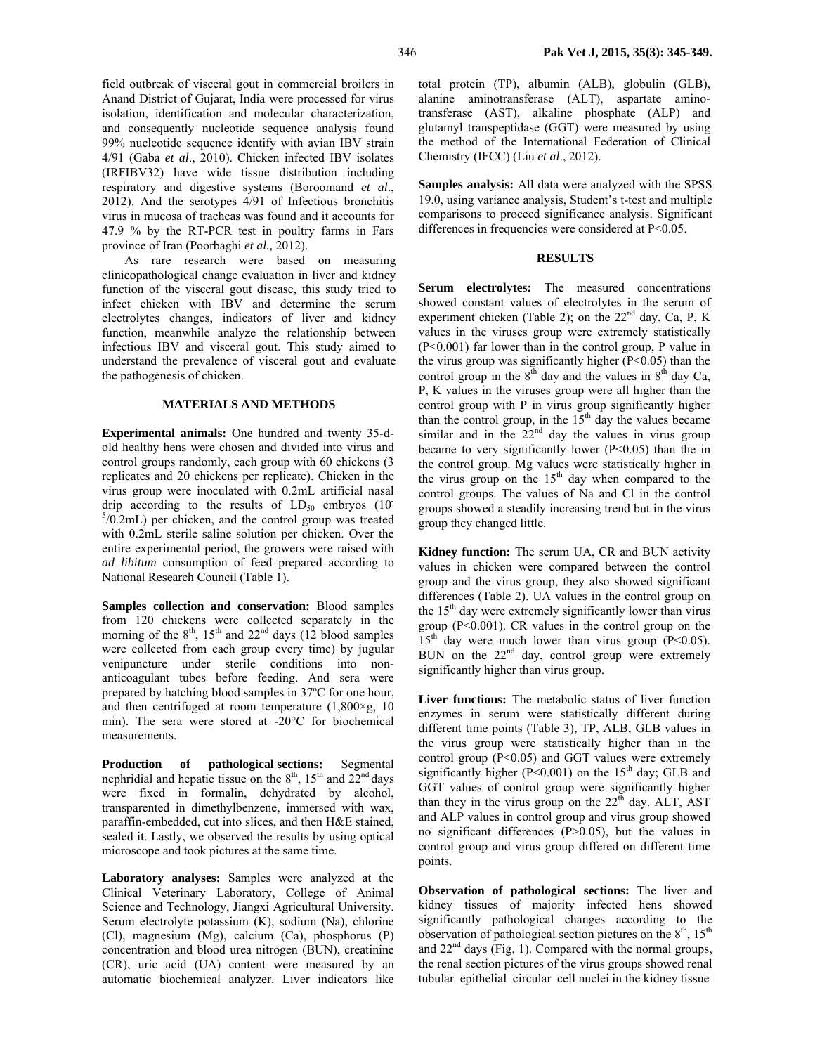field outbreak of visceral gout in commercial broilers in Anand District of Gujarat, India were processed for virus isolation, identification and molecular characterization, and consequently nucleotide sequence analysis found 99% nucleotide sequence identify with avian IBV strain 4/91 (Gaba *et al*., 2010). Chicken infected IBV isolates (IRFIBV32) have wide tissue distribution including respiratory and digestive systems (Boroomand *et al*., 2012). And the serotypes 4/91 of Infectious bronchitis virus in mucosa of tracheas was found and it accounts for 47.9 % by the RT-PCR test in poultry farms in Fars province of Iran (Poorbaghi *et al.,* 2012).

As rare research were based on measuring clinicopathological change evaluation in liver and kidney function of the visceral gout disease, this study tried to infect chicken with IBV and determine the serum electrolytes changes, indicators of liver and kidney function, meanwhile analyze the relationship between infectious IBV and visceral gout. This study aimed to understand the prevalence of visceral gout and evaluate the pathogenesis of chicken.

### **MATERIALS AND METHODS**

**Experimental animals:** One hundred and twenty 35-dold healthy hens were chosen and divided into virus and control groups randomly, each group with 60 chickens (3 replicates and 20 chickens per replicate). Chicken in the virus group were inoculated with 0.2mL artificial nasal drip according to the results of  $LD_{50}$  embryos (10)  $5/0.2$ mL) per chicken, and the control group was treated with 0.2mL sterile saline solution per chicken. Over the entire experimental period, the growers were raised with *ad libitum* consumption of feed prepared according to National Research Council (Table 1).

**Samples collection and conservation:** Blood samples from 120 chickens were collected separately in the morning of the  $8<sup>th</sup>$ ,  $15<sup>th</sup>$  and  $22<sup>nd</sup>$  days  $(12)$  blood samples were collected from each group every time) by jugular venipuncture under sterile conditions into nonanticoagulant tubes before feeding. And sera were prepared by hatching blood samples in 37ºC for one hour, and then centrifuged at room temperature  $(1,800 \times g, 10)$ min). The sera were stored at -20°C for biochemical measurements.

**Production of pathological sections:** Segmental nephridial and hepatic tissue on the  $8<sup>th</sup>$ ,  $15<sup>th</sup>$  and  $22<sup>nd</sup>$  days were fixed in formalin, dehydrated by alcohol, transparented in dimethylbenzene, immersed with wax, paraffin-embedded, cut into slices, and then H&E stained, sealed it. Lastly, we observed the results by using optical microscope and took pictures at the same time.

**Laboratory analyses:** Samples were analyzed at the Clinical Veterinary Laboratory, College of Animal Science and Technology, Jiangxi Agricultural University. Serum electrolyte potassium (K), sodium (Na), chlorine (Cl), magnesium (Mg), calcium (Ca), phosphorus (P) concentration and blood urea nitrogen (BUN), creatinine (CR), uric acid (UA) content were measured by an automatic biochemical analyzer. Liver indicators like total protein (TP), albumin (ALB), globulin (GLB), alanine aminotransferase (ALT), aspartate aminotransferase (AST), alkaline phosphate (ALP) and glutamyl transpeptidase (GGT) were measured by using the method of the International Federation of Clinical Chemistry (IFCC) (Liu *et al*., 2012).

**Samples analysis:** All data were analyzed with the SPSS 19.0, using variance analysis, Student's t-test and multiple comparisons to proceed significance analysis. Significant differences in frequencies were considered at  $P<0.05$ .

# **RESULTS**

**Serum electrolytes:** The measured concentrations showed constant values of electrolytes in the serum of experiment chicken (Table 2); on the  $22<sup>nd</sup>$  day, Ca, P, K values in the viruses group were extremely statistically (P<0.001) far lower than in the control group, P value in the virus group was significantly higher  $(P<0.05)$  than the control group in the  $8<sup>th</sup>$  day and the values in  $8<sup>th</sup>$  day Ca, P, K values in the viruses group were all higher than the control group with P in virus group significantly higher than the control group, in the  $15<sup>th</sup>$  day the values became similar and in the  $22<sup>nd</sup>$  day the values in virus group became to very significantly lower (P<0.05) than the in the control group. Mg values were statistically higher in the virus group on the 15<sup>th</sup> day when compared to the control groups. The values of Na and Cl in the control groups showed a steadily increasing trend but in the virus group they changed little.

**Kidney function:** The serum UA, CR and BUN activity values in chicken were compared between the control group and the virus group, they also showed significant differences (Table 2). UA values in the control group on the  $15<sup>th</sup>$  day were extremely significantly lower than virus group  $(P<0.001)$ . CR values in the control group on the  $15<sup>th</sup>$  day were much lower than virus group (P<0.05). BUN on the 22<sup>nd</sup> day, control group were extremely significantly higher than virus group.

**Liver functions:** The metabolic status of liver function enzymes in serum were statistically different during different time points (Table 3), TP, ALB, GLB values in the virus group were statistically higher than in the control group  $(P<0.05)$  and GGT values were extremely significantly higher ( $P \le 0.001$ ) on the 15<sup>th</sup> day; GLB and GGT values of control group were significantly higher than they in the virus group on the  $22<sup>th</sup>$  day. ALT, AST and ALP values in control group and virus group showed no significant differences (P>0.05), but the values in control group and virus group differed on different time points.

**Observation of pathological sections:** The liver and kidney tissues of majority infected hens showed significantly pathological changes according to the observation of pathological section pictures on the  $8<sup>th</sup>$ , 15<sup>th</sup> and  $22<sup>nd</sup>$  days (Fig. 1). Compared with the normal groups, the renal section pictures of the virus groups showed renal tubular epithelial circular cell nuclei in the kidney tissue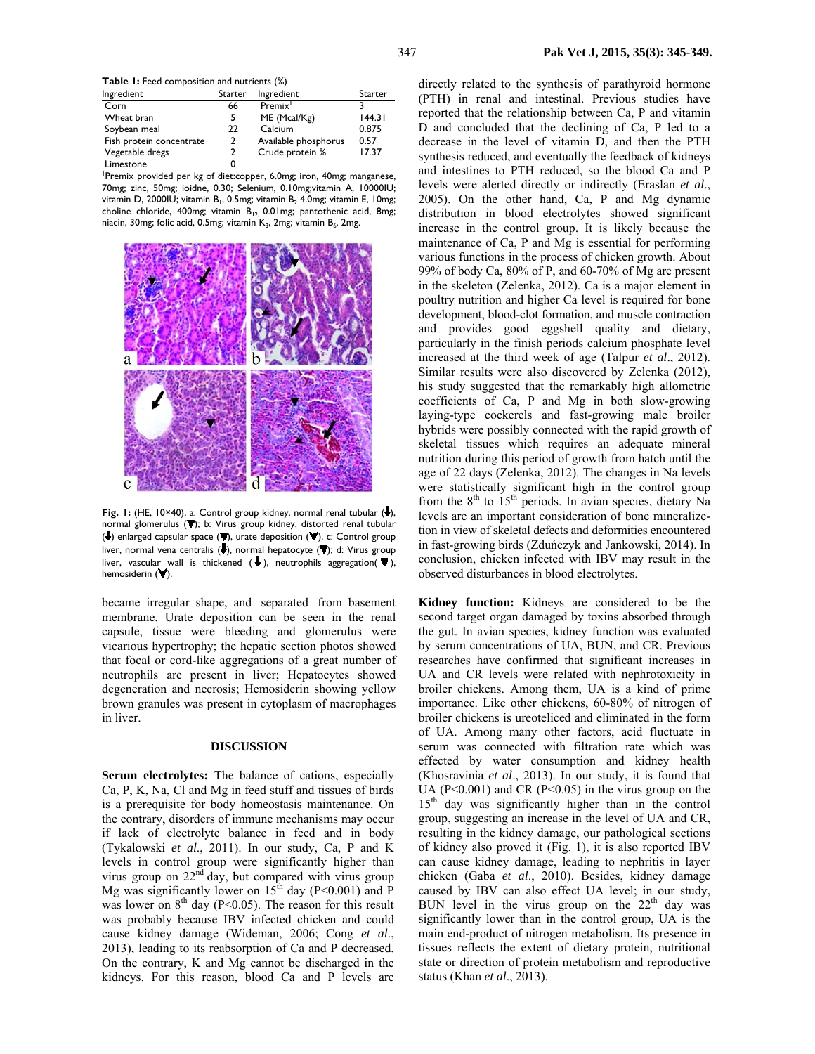**Table 1:** Feed composition and nutrients (%)

| Ingredient                                                            | Starter | Ingredient           | Starter |  |  |  |
|-----------------------------------------------------------------------|---------|----------------------|---------|--|--|--|
| Corn                                                                  | 66      | Premix <sup>1</sup>  |         |  |  |  |
| Wheat bran                                                            |         | ME (Mcal/Kg)         | 144.31  |  |  |  |
| Soybean meal                                                          | 22      | Calcium              | 0.875   |  |  |  |
| Fish protein concentrate                                              | 2       | Available phosphorus | 0.57    |  |  |  |
| Vegetable dregs                                                       | 2       | Crude protein %      | 17.37   |  |  |  |
| Limestone                                                             |         |                      |         |  |  |  |
| Premix provided per kg of diet: copper, 6.0mg; iron, 40mg; manganese, |         |                      |         |  |  |  |

70mg; zinc, 50mg; ioidne, 0.30; Selenium, 0.10mg;vitamin A, 10000IU; vitamin D, 2000IU; vitamin B<sub>1</sub>, 0.5mg; vitamin B<sub>2</sub> 4.0mg; vitamin E, 10mg; choline chloride, 400mg; vitamin  $\overline{B}_{12}$ ; 0.01mg; pantothenic acid, 8mg; niacin, 30mg; folic acid, 0.5mg; vitamin  $K_3$ , 2mg; vitamin  $B_6$ , 2mg.



Fig. 1: (HE, 10×40), a: Control group kidney, normal renal tubular (.), normal glomerulus  $(\blacktriangledown)$ ; b: Virus group kidney, distorted renal tubular ( $\blacklozenge$ ) enlarged capsular space ( $\nabla$ ), urate deposition ( $\nabla$ ). c: Control group liver, normal vena centralis (+), normal hepatocyte ("); d: Virus group liver, vascular wall is thickened  $(\bigstar)$ , neutrophils aggregation( $\blacktriangledown$ ), hemosiderin  $($   $\blacktriangledown$ ).

became irregular shape, and separated from basement membrane. Urate deposition can be seen in the renal capsule, tissue were bleeding and glomerulus were vicarious hypertrophy; the hepatic section photos showed that focal or cord-like aggregations of a great number of neutrophils are present in liver; Hepatocytes showed degeneration and necrosis; Hemosiderin showing yellow brown granules was present in cytoplasm of macrophages in liver.

## **DISCUSSION**

**Serum electrolytes:** The balance of cations, especially Ca, P, K, Na, Cl and Mg in feed stuff and tissues of birds is a prerequisite for body homeostasis maintenance. On the contrary, disorders of immune mechanisms may occur if lack of electrolyte balance in feed and in body (Tykalowski *et al*., 2011). In our study, Ca, P and K levels in control group were significantly higher than virus group on  $22<sup>nd</sup>$  day, but compared with virus group Mg was significantly lower on  $15<sup>th</sup>$  day (P<0.001) and P was lower on  $8<sup>th</sup>$  day (P<0.05). The reason for this result was probably because IBV infected chicken and could cause kidney damage (Wideman, 2006; Cong *et al*., 2013), leading to its reabsorption of Ca and P decreased. On the contrary, K and Mg cannot be discharged in the kidneys. For this reason, blood Ca and P levels are directly related to the synthesis of parathyroid hormone (PTH) in renal and intestinal. Previous studies have reported that the relationship between Ca, P and vitamin D and concluded that the declining of Ca, P led to a decrease in the level of vitamin D, and then the PTH synthesis reduced, and eventually the feedback of kidneys and intestines to PTH reduced, so the blood Ca and P levels were alerted directly or indirectly (Eraslan *et al*., 2005). On the other hand, Ca, P and Mg dynamic distribution in blood electrolytes showed significant increase in the control group. It is likely because the maintenance of Ca, P and Mg is essential for performing various functions in the process of chicken growth. About 99% of body Ca, 80% of P, and 60-70% of Mg are present in the skeleton (Zelenka, 2012). Ca is a major element in poultry nutrition and higher Ca level is required for bone development, blood-clot formation, and muscle contraction and provides good eggshell quality and dietary, particularly in the finish periods calcium phosphate level increased at the third week of age (Talpur *et al*., 2012). Similar results were also discovered by Zelenka (2012), his study suggested that the remarkably high allometric coefficients of Ca, P and Mg in both slow-growing laying-type cockerels and fast-growing male broiler hybrids were possibly connected with the rapid growth of skeletal tissues which requires an adequate mineral nutrition during this period of growth from hatch until the age of 22 days (Zelenka, 2012). The changes in Na levels were statistically significant high in the control group from the  $8<sup>th</sup>$  to 15<sup>th</sup> periods. In avian species, dietary Na levels are an important consideration of bone mineralizetion in view of skeletal defects and deformities encountered in fast-growing birds (Zduńczyk and Jankowski, 2014). In conclusion, chicken infected with IBV may result in the observed disturbances in blood electrolytes.

**Kidney function:** Kidneys are considered to be the second target organ damaged by toxins absorbed through the gut. In avian species, kidney function was evaluated by serum concentrations of UA, BUN, and CR. Previous researches have confirmed that significant increases in UA and CR levels were related with nephrotoxicity in broiler chickens. Among them, UA is a kind of prime importance. Like other chickens, 60-80% of nitrogen of broiler chickens is ureoteliced and eliminated in the form of UA. Among many other factors, acid fluctuate in serum was connected with filtration rate which was effected by water consumption and kidney health (Khosravinia *et al*., 2013). In our study, it is found that UA ( $P \le 0.001$ ) and CR ( $P \le 0.05$ ) in the virus group on the 15<sup>th</sup> day was significantly higher than in the control group, suggesting an increase in the level of UA and CR, resulting in the kidney damage, our pathological sections of kidney also proved it (Fig. 1), it is also reported IBV can cause kidney damage, leading to nephritis in layer chicken (Gaba *et al*., 2010). Besides, kidney damage caused by IBV can also effect UA level; in our study, BUN level in the virus group on the  $22<sup>th</sup>$  day was significantly lower than in the control group, UA is the main end-product of nitrogen metabolism. Its presence in tissues reflects the extent of dietary protein, nutritional state or direction of protein metabolism and reproductive status (Khan *et al*., 2013).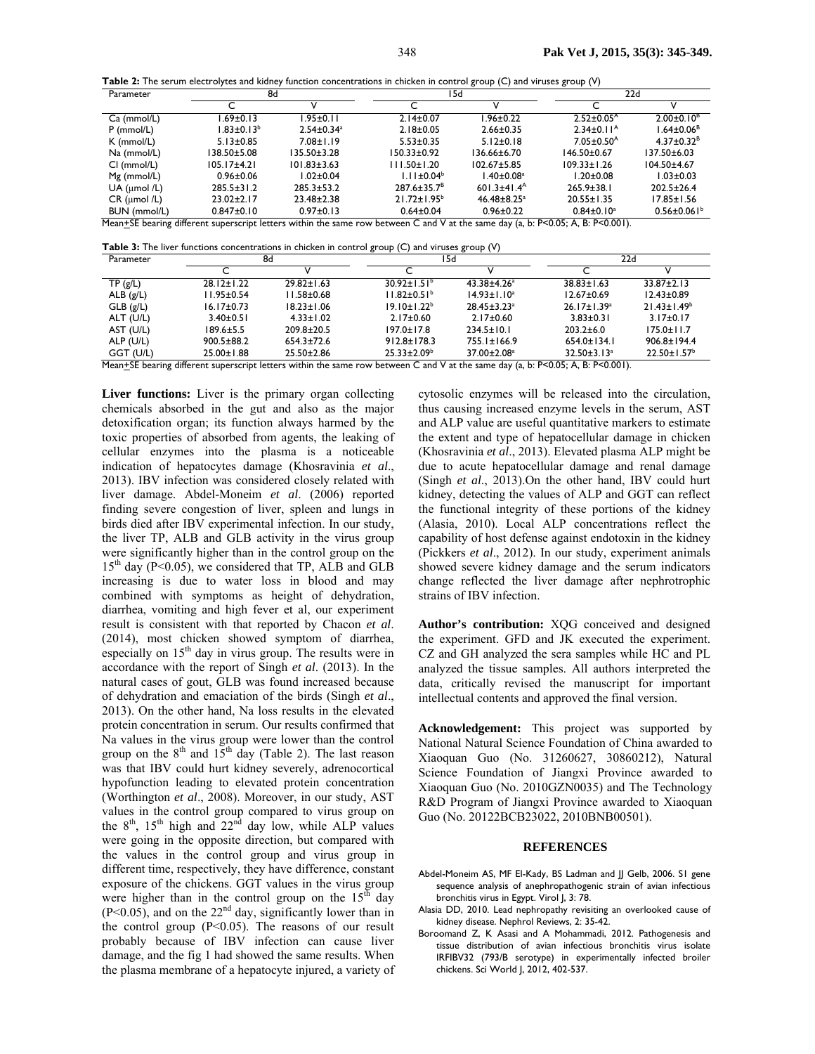**Table 2:** The serum electrolytes and kidney function concentrations in chicken in control group (C) and viruses group (V)

| Parameter           | 8d                |                              | I5d                |                               | 22d                          |                               |
|---------------------|-------------------|------------------------------|--------------------|-------------------------------|------------------------------|-------------------------------|
|                     |                   |                              |                    | \/                            |                              |                               |
| Ca (mmol/L)         | $.69 \pm 0.13$    | $.95 \pm 0.11$               | $2.14 \pm 0.07$    | l.96±0.22                     | $2.52 \pm 0.05^{\text{A}}$   | $2.00 \pm 0.10^8$             |
| $P$ (mmol/L)        | $1.83 \pm 0.13^b$ | $2.54 \pm 0.34$ <sup>a</sup> | $2.18 \pm 0.05$    | $2.66 \pm 0.35$               | $2.34 \pm 0.11^{\text{A}}$   | $1.64 \pm 0.06$ <sup>B</sup>  |
| K (mmol/L)          | $5.13 \pm 0.85$   | $7.08 \pm 1.19$              | $5.53 \pm 0.35$    | $5.12 \pm 0.18$               | $7.05 \pm 0.50$ <sup>A</sup> | $4.37 \pm 0.32^B$             |
| Na (mmol/L)         | 138.50±5.08       | $135.50 + 3.28$              | I50.33±0.92        | 136.66±6.70                   | $146.50 \pm 0.67$            | $137.50 \pm 6.03$             |
| CI (mmol/L)         | $105.17 + 4.21$   | $101.83 \pm 3.63$            | $111.50 \pm 1.20$  | $102.67 \pm 5.85$             | $109.33 \pm 1.26$            | $104.50 + 4.67$               |
| $Mg$ (mmol/L)       | $0.96 \pm 0.06$   | $.02 \pm 0.04$               | $1.11 \pm 0.04^b$  | $1.40 \pm 0.08$ <sup>a</sup>  | $1.20 \pm 0.08$              | $1.03 \pm 0.03$               |
| UA ( $\mu$ mol /L)  | $285.5 \pm 31.2$  | $285.3 \pm 53.2$             | $287.6 \pm 35.7^8$ | $601.3 \pm 41.4$ <sup>A</sup> | $265.9 \pm 38.1$             | $202.5 \pm 26.4$              |
| $CR$ ( $µmol$ /L)   | $23.02 \pm 2.17$  | $23.48 \pm 2.38$             | $21.72 \pm 1.95^b$ | $46.48 \pm 8.25$ <sup>a</sup> | $20.55 \pm 1.35$             | $17.85 \pm 1.56$              |
| <b>BUN</b> (mmol/L) | $0.847 + 0.10$    | $0.97 \pm 0.13$              | $0.64 \pm 0.04$    | $0.96 \pm 0.22$               | $0.84 \pm 0.10^a$            | $0.56 \pm 0.061$ <sup>b</sup> |

Mean+SE bearing different superscript letters within the same row between C and V at the same day (a, b: P<0.05; A, B: P<0.001).

**Table 3:** The liver functions concentrations in chicken in control group (C) and viruses group (V)

| Parameter | 8d               |                  | 15d                                                                                                                                           |                               | 22d                           |                               |
|-----------|------------------|------------------|-----------------------------------------------------------------------------------------------------------------------------------------------|-------------------------------|-------------------------------|-------------------------------|
|           |                  |                  |                                                                                                                                               |                               |                               |                               |
| TP(g/L)   | $28.12 \pm 1.22$ | $29.82 \pm 1.63$ | $30.92 \pm 1.51^{\circ}$                                                                                                                      | $43.38 \pm 4.26^a$            | $38.83 \pm 1.63$              | $33.87 \pm 2.13$              |
| ALB(g/L)  | $11.95 \pm 0.54$ | $11.58 \pm 0.68$ | $11.82 \pm 0.51^b$                                                                                                                            | $14.93 \pm 1.10^a$            | $12.67 \pm 0.69$              | $12.43 \pm 0.89$              |
| GLB(g/L)  | $16.17 \pm 0.73$ | $18.23 \pm 1.06$ | $19.10 \pm 1.22^b$                                                                                                                            | $28.45 \pm 3.23$ <sup>a</sup> | $26.17 \pm 1.39^a$            | $21.43 \pm 1.49^b$            |
| ALT (U/L) | $3.40 \pm 0.51$  | $4.33 \pm 1.02$  | $2.17 \pm 0.60$                                                                                                                               | $2.17 \pm 0.60$               | $3.83 \pm 0.31$               | $3.17 \pm 0.17$               |
| AST (U/L) | $189.6 \pm 5.5$  | $209.8 \pm 20.5$ | $197.0 \pm 17.8$                                                                                                                              | $234.5 \pm 10.1$              | $203.2 \pm 6.0$               | $175.0 \pm 11.7$              |
| ALP (U/L) | $900.5 \pm 88.2$ | $654.3 \pm 72.6$ | $912.8 \pm 178.3$                                                                                                                             | $755.1 \pm 166.9$             | $654.0 \pm 134.1$             | $906.8 \pm 194.4$             |
| GGT (U/L) | 25.00±1.88       | $25.50 \pm 2.86$ | $25.33 \pm 2.09^b$<br>March CE barriers at the company of a barrier state above and barriers County and a state of the D-A ACA ACA D-B-A AAIN | 37.00±2.08 <sup>a</sup>       | $32.50 \pm 3.13$ <sup>a</sup> | $22.50 \pm 1.57$ <sup>b</sup> |

Mean $\pm$ SE bearing different superscript letters within the same row between C and V at the same day (a, b: P<0.05; A, B: P<0.001).

**Liver functions:** Liver is the primary organ collecting chemicals absorbed in the gut and also as the major detoxification organ; its function always harmed by the toxic properties of absorbed from agents, the leaking of cellular enzymes into the plasma is a noticeable indication of hepatocytes damage (Khosravinia *et al*., 2013). IBV infection was considered closely related with liver damage. Abdel-Moneim *et al*. (2006) reported finding severe congestion of liver, spleen and lungs in birds died after IBV experimental infection. In our study, the liver TP, ALB and GLB activity in the virus group were significantly higher than in the control group on the  $15<sup>th</sup>$  day (P<0.05), we considered that TP, ALB and GLB increasing is due to water loss in blood and may combined with symptoms as height of dehydration, diarrhea, vomiting and high fever et al, our experiment result is consistent with that reported by Chacon *et al*. (2014), most chicken showed symptom of diarrhea, especially on 15<sup>th</sup> day in virus group. The results were in accordance with the report of Singh *et al*. (2013). In the natural cases of gout, GLB was found increased because of dehydration and emaciation of the birds (Singh *et al*., 2013). On the other hand, Na loss results in the elevated protein concentration in serum. Our results confirmed that Na values in the virus group were lower than the control group on the  $8<sup>th</sup>$  and  $15<sup>th</sup>$  day (Table 2). The last reason was that IBV could hurt kidney severely, adrenocortical hypofunction leading to elevated protein concentration (Worthington *et al*., 2008). Moreover, in our study, AST values in the control group compared to virus group on the  $8<sup>th</sup>$ ,  $15<sup>th</sup>$  high and  $22<sup>nd</sup>$  day low, while ALP values were going in the opposite direction, but compared with the values in the control group and virus group in different time, respectively, they have difference, constant exposure of the chickens. GGT values in the virus group were higher than in the control group on the  $15<sup>th</sup>$  day  $(P<0.05)$ , and on the 22<sup>nd</sup> day, significantly lower than in the control group (P<0.05). The reasons of our result probably because of IBV infection can cause liver damage, and the fig 1 had showed the same results. When the plasma membrane of a hepatocyte injured, a variety of

cytosolic enzymes will be released into the circulation, thus causing increased enzyme levels in the serum, AST and ALP value are useful quantitative markers to estimate the extent and type of hepatocellular damage in chicken (Khosravinia *et al*., 2013). Elevated plasma ALP might be due to acute hepatocellular damage and renal damage (Singh *et al*., 2013).On the other hand, IBV could hurt kidney, detecting the values of ALP and GGT can reflect the functional integrity of these portions of the kidney (Alasia, 2010). Local ALP concentrations reflect the capability of host defense against endotoxin in the kidney (Pickkers *et al*., 2012). In our study, experiment animals showed severe kidney damage and the serum indicators change reflected the liver damage after nephrotrophic strains of IBV infection.

**Author's contribution:** XQG conceived and designed the experiment. GFD and JK executed the experiment. CZ and GH analyzed the sera samples while HC and PL analyzed the tissue samples. All authors interpreted the data, critically revised the manuscript for important intellectual contents and approved the final version.

**Acknowledgement:** This project was supported by National Natural Science Foundation of China awarded to Xiaoquan Guo (No. 31260627, 30860212), Natural Science Foundation of Jiangxi Province awarded to Xiaoquan Guo (No. 2010GZN0035) and The Technology R&D Program of Jiangxi Province awarded to Xiaoquan Guo (No. 20122BCB23022, 2010BNB00501).

#### **REFERENCES**

- Abdel-Moneim AS, MF El-Kady, BS Ladman and JJ Gelb, 2006. SI gene sequence analysis of anephropathogenic strain of avian infectious bronchitis virus in Egypt. Virol J, 3: 78.
- Alasia DD, 2010. Lead nephropathy revisiting an overlooked cause of kidney disease. Nephrol Reviews, 2: 35-42.
- Boroomand Z, K Asasi and A Mohammadi, 2012. Pathogenesis and tissue distribution of avian infectious bronchitis virus isolate IRFIBV32 (793/B serotype) in experimentally infected broiler chickens. Sci World J, 2012, 402-537.